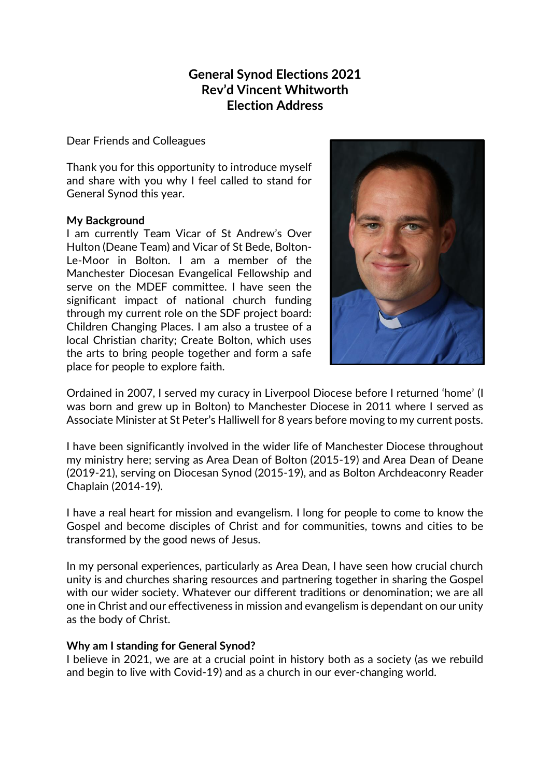## **General Synod Elections 2021 Rev'd Vincent Whitworth Election Address**

Dear Friends and Colleagues

Thank you for this opportunity to introduce myself and share with you why I feel called to stand for General Synod this year.

## **My Background**

I am currently Team Vicar of St Andrew's Over Hulton (Deane Team) and Vicar of St Bede, Bolton-Le-Moor in Bolton. I am a member of the Manchester Diocesan Evangelical Fellowship and serve on the MDEF committee. I have seen the significant impact of national church funding through my current role on the SDF project board: Children Changing Places. I am also a trustee of a local Christian charity; Create Bolton, which uses the arts to bring people together and form a safe place for people to explore faith.



Ordained in 2007, I served my curacy in Liverpool Diocese before I returned 'home' (I was born and grew up in Bolton) to Manchester Diocese in 2011 where I served as Associate Minister at St Peter's Halliwell for 8 years before moving to my current posts.

I have been significantly involved in the wider life of Manchester Diocese throughout my ministry here; serving as Area Dean of Bolton (2015-19) and Area Dean of Deane (2019-21), serving on Diocesan Synod (2015-19), and as Bolton Archdeaconry Reader Chaplain (2014-19).

I have a real heart for mission and evangelism. I long for people to come to know the Gospel and become disciples of Christ and for communities, towns and cities to be transformed by the good news of Jesus.

In my personal experiences, particularly as Area Dean, I have seen how crucial church unity is and churches sharing resources and partnering together in sharing the Gospel with our wider society. Whatever our different traditions or denomination; we are all one in Christ and our effectiveness in mission and evangelism is dependant on our unity as the body of Christ.

## **Why am I standing for General Synod?**

I believe in 2021, we are at a crucial point in history both as a society (as we rebuild and begin to live with Covid-19) and as a church in our ever-changing world.